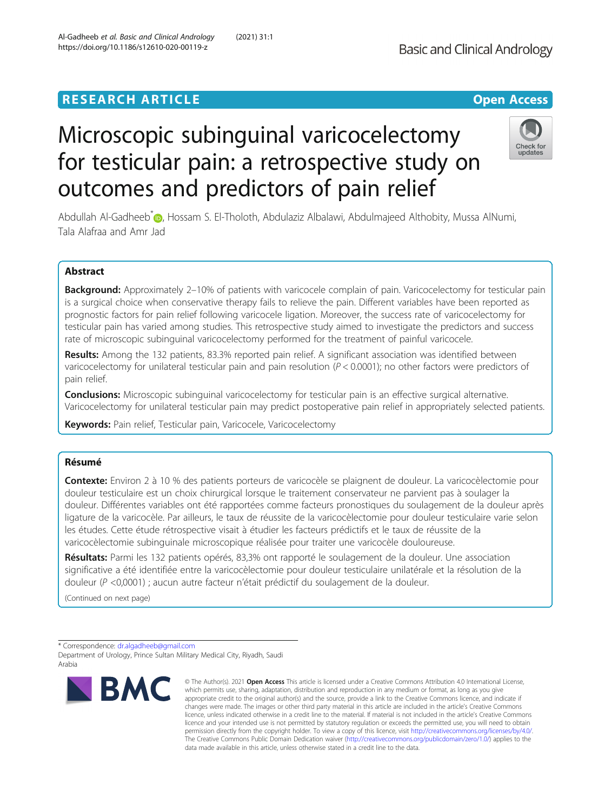# Microscopic subinguinal varicocelectomy for testicular pain: a retrospective study on outcomes and predictors of pain relief

Abdullah Al-Gadheeb<sup>\*</sup> , Hossam S. El-Tholoth, Abdulaziz Albalawi, Abdulmajeed Althobity, Mussa AlNumi, Tala Alafraa and Amr Jad

# Abstract

Background: Approximately 2-10% of patients with varicocele complain of pain. Varicocelectomy for testicular pain is a surgical choice when conservative therapy fails to relieve the pain. Different variables have been reported as prognostic factors for pain relief following varicocele ligation. Moreover, the success rate of varicocelectomy for testicular pain has varied among studies. This retrospective study aimed to investigate the predictors and success rate of microscopic subinguinal varicocelectomy performed for the treatment of painful varicocele.

Results: Among the 132 patients, 83.3% reported pain relief. A significant association was identified between varicocelectomy for unilateral testicular pain and pain resolution  $(P < 0.0001)$ ; no other factors were predictors of pain relief.

**Conclusions:** Microscopic subinguinal varicocelectomy for testicular pain is an effective surgical alternative. Varicocelectomy for unilateral testicular pain may predict postoperative pain relief in appropriately selected patients.

Keywords: Pain relief, Testicular pain, Varicocele, Varicocelectomy

# Résumé

Contexte: Environ 2 à 10 % des patients porteurs de varicocèle se plaignent de douleur. La varicocèlectomie pour douleur testiculaire est un choix chirurgical lorsque le traitement conservateur ne parvient pas à soulager la douleur. Différentes variables ont été rapportées comme facteurs pronostiques du soulagement de la douleur après ligature de la varicocèle. Par ailleurs, le taux de réussite de la varicocèlectomie pour douleur testiculaire varie selon les études. Cette étude rétrospective visait à étudier les facteurs prédictifs et le taux de réussite de la varicocèlectomie subinguinale microscopique réalisée pour traiter une varicocèle douloureuse.

Résultats: Parmi les 132 patients opérés, 83,3% ont rapporté le soulagement de la douleur. Une association significative a été identifiée entre la varicocèlectomie pour douleur testiculaire unilatérale et la résolution de la douleur (P <0,0001) ; aucun autre facteur n'était prédictif du soulagement de la douleur.

(Continued on next page)

\* Correspondence: [dr.algadheeb@gmail.com](mailto:dr.algadheeb@gmail.com)

**BMC** 

Department of Urology, Prince Sultan Military Medical City, Riyadh, Saudi Arabia

> © The Author(s), 2021 **Open Access** This article is licensed under a Creative Commons Attribution 4.0 International License, which permits use, sharing, adaptation, distribution and reproduction in any medium or format, as long as you give appropriate credit to the original author(s) and the source, provide a link to the Creative Commons licence, and indicate if changes were made. The images or other third party material in this article are included in the article's Creative Commons licence, unless indicated otherwise in a credit line to the material. If material is not included in the article's Creative Commons licence and your intended use is not permitted by statutory regulation or exceeds the permitted use, you will need to obtain permission directly from the copyright holder. To view a copy of this licence, visit [http://creativecommons.org/licenses/by/4.0/.](http://creativecommons.org/licenses/by/4.0/) The Creative Commons Public Domain Dedication waiver [\(http://creativecommons.org/publicdomain/zero/1.0/](http://creativecommons.org/publicdomain/zero/1.0/)) applies to the data made available in this article, unless otherwise stated in a credit line to the data.



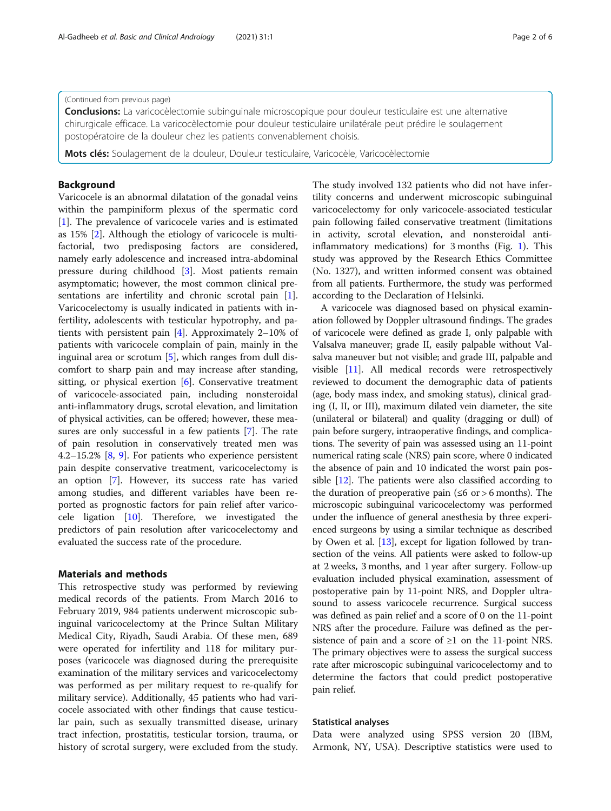(Continued from previous page)

**Conclusions:** La varicocèlectomie subinguinale microscopique pour douleur testiculaire est une alternative chirurgicale efficace. La varicocèlectomie pour douleur testiculaire unilatérale peut prédire le soulagement postopératoire de la douleur chez les patients convenablement choisis.

Mots clés: Soulagement de la douleur, Douleur testiculaire, Varicocèle, Varicocèlectomie

# Background

Varicocele is an abnormal dilatation of the gonadal veins within the pampiniform plexus of the spermatic cord [[1\]](#page-4-0). The prevalence of varicocele varies and is estimated as 15% [[2\]](#page-4-0). Although the etiology of varicocele is multifactorial, two predisposing factors are considered, namely early adolescence and increased intra-abdominal pressure during childhood [\[3](#page-4-0)]. Most patients remain asymptomatic; however, the most common clinical presentations are infertility and chronic scrotal pain [\[1](#page-4-0)]. Varicocelectomy is usually indicated in patients with infertility, adolescents with testicular hypotrophy, and patients with persistent pain [[4\]](#page-4-0). Approximately 2–10% of patients with varicocele complain of pain, mainly in the inguinal area or scrotum [[5\]](#page-4-0), which ranges from dull discomfort to sharp pain and may increase after standing, sitting, or physical exertion [\[6](#page-4-0)]. Conservative treatment of varicocele-associated pain, including nonsteroidal anti-inflammatory drugs, scrotal elevation, and limitation of physical activities, can be offered; however, these measures are only successful in a few patients [[7\]](#page-4-0). The rate of pain resolution in conservatively treated men was 4.2–15.2%  $[8, 9]$  $[8, 9]$  $[8, 9]$ . For patients who experience persistent pain despite conservative treatment, varicocelectomy is an option [\[7](#page-4-0)]. However, its success rate has varied among studies, and different variables have been reported as prognostic factors for pain relief after varicocele ligation [\[10](#page-4-0)]. Therefore, we investigated the predictors of pain resolution after varicocelectomy and evaluated the success rate of the procedure.

# Materials and methods

This retrospective study was performed by reviewing medical records of the patients. From March 2016 to February 2019, 984 patients underwent microscopic subinguinal varicocelectomy at the Prince Sultan Military Medical City, Riyadh, Saudi Arabia. Of these men, 689 were operated for infertility and 118 for military purposes (varicocele was diagnosed during the prerequisite examination of the military services and varicocelectomy was performed as per military request to re-qualify for military service). Additionally, 45 patients who had varicocele associated with other findings that cause testicular pain, such as sexually transmitted disease, urinary tract infection, prostatitis, testicular torsion, trauma, or history of scrotal surgery, were excluded from the study. The study involved 132 patients who did not have infertility concerns and underwent microscopic subinguinal varicocelectomy for only varicocele-associated testicular pain following failed conservative treatment (limitations in activity, scrotal elevation, and nonsteroidal antiinflammatory medications) for 3 months (Fig. [1\)](#page-2-0). This study was approved by the Research Ethics Committee (No. 1327), and written informed consent was obtained from all patients. Furthermore, the study was performed according to the Declaration of Helsinki.

A varicocele was diagnosed based on physical examination followed by Doppler ultrasound findings. The grades of varicocele were defined as grade I, only palpable with Valsalva maneuver; grade II, easily palpable without Valsalva maneuver but not visible; and grade III, palpable and visible [[11](#page-5-0)]. All medical records were retrospectively reviewed to document the demographic data of patients (age, body mass index, and smoking status), clinical grading (I, II, or III), maximum dilated vein diameter, the site (unilateral or bilateral) and quality (dragging or dull) of pain before surgery, intraoperative findings, and complications. The severity of pain was assessed using an 11-point numerical rating scale (NRS) pain score, where 0 indicated the absence of pain and 10 indicated the worst pain possible [[12\]](#page-5-0). The patients were also classified according to the duration of preoperative pain ( $\leq 6$  or > 6 months). The microscopic subinguinal varicocelectomy was performed under the influence of general anesthesia by three experienced surgeons by using a similar technique as described by Owen et al. [[13](#page-5-0)], except for ligation followed by transection of the veins. All patients were asked to follow-up at 2 weeks, 3 months, and 1 year after surgery. Follow-up evaluation included physical examination, assessment of postoperative pain by 11-point NRS, and Doppler ultrasound to assess varicocele recurrence. Surgical success was defined as pain relief and a score of 0 on the 11-point NRS after the procedure. Failure was defined as the persistence of pain and a score of  $\geq 1$  on the 11-point NRS. The primary objectives were to assess the surgical success rate after microscopic subinguinal varicocelectomy and to determine the factors that could predict postoperative pain relief.

## Statistical analyses

Data were analyzed using SPSS version 20 (IBM, Armonk, NY, USA). Descriptive statistics were used to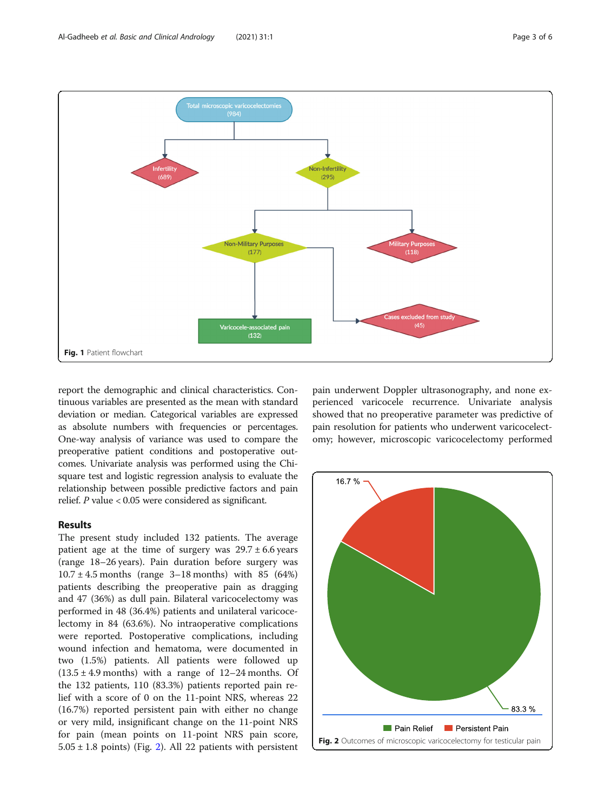<span id="page-2-0"></span>

report the demographic and clinical characteristics. Continuous variables are presented as the mean with standard deviation or median. Categorical variables are expressed as absolute numbers with frequencies or percentages. One-way analysis of variance was used to compare the preoperative patient conditions and postoperative outcomes. Univariate analysis was performed using the Chisquare test and logistic regression analysis to evaluate the relationship between possible predictive factors and pain relief. P value < 0.05 were considered as significant.

# Results

The present study included 132 patients. The average patient age at the time of surgery was  $29.7 \pm 6.6$  years (range 18–26 years). Pain duration before surgery was  $10.7 \pm 4.5$  months (range 3–18 months) with 85 (64%) patients describing the preoperative pain as dragging and 47 (36%) as dull pain. Bilateral varicocelectomy was performed in 48 (36.4%) patients and unilateral varicocelectomy in 84 (63.6%). No intraoperative complications were reported. Postoperative complications, including wound infection and hematoma, were documented in two (1.5%) patients. All patients were followed up  $(13.5 \pm 4.9 \text{ months})$  with a range of 12–24 months. Of the 132 patients, 110 (83.3%) patients reported pain relief with a score of 0 on the 11-point NRS, whereas 22 (16.7%) reported persistent pain with either no change or very mild, insignificant change on the 11-point NRS for pain (mean points on 11-point NRS pain score,  $5.05 \pm 1.8$  points) (Fig. 2). All 22 patients with persistent

pain underwent Doppler ultrasonography, and none experienced varicocele recurrence. Univariate analysis showed that no preoperative parameter was predictive of pain resolution for patients who underwent varicocelectomy; however, microscopic varicocelectomy performed

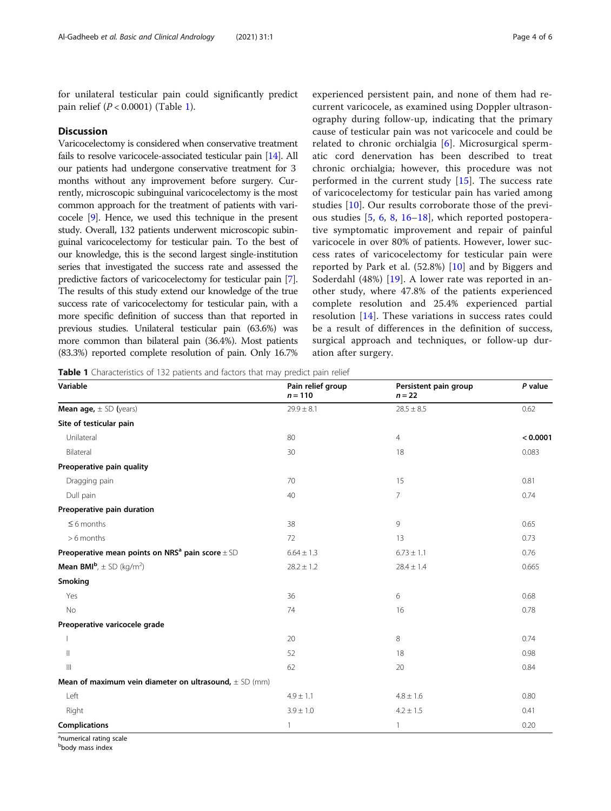for unilateral testicular pain could significantly predict pain relief  $(P < 0.0001)$  (Table 1).

# **Discussion**

Varicocelectomy is considered when conservative treatment fails to resolve varicocele-associated testicular pain [\[14\]](#page-5-0). All our patients had undergone conservative treatment for 3 months without any improvement before surgery. Currently, microscopic subinguinal varicocelectomy is the most common approach for the treatment of patients with varicocele [\[9\]](#page-4-0). Hence, we used this technique in the present study. Overall, 132 patients underwent microscopic subinguinal varicocelectomy for testicular pain. To the best of our knowledge, this is the second largest single-institution series that investigated the success rate and assessed the predictive factors of varicocelectomy for testicular pain [[7](#page-4-0)]. The results of this study extend our knowledge of the true success rate of varicocelectomy for testicular pain, with a more specific definition of success than that reported in previous studies. Unilateral testicular pain (63.6%) was more common than bilateral pain (36.4%). Most patients (83.3%) reported complete resolution of pain. Only 16.7%

experienced persistent pain, and none of them had recurrent varicocele, as examined using Doppler ultrasonography during follow-up, indicating that the primary cause of testicular pain was not varicocele and could be related to chronic orchialgia [\[6](#page-4-0)]. Microsurgical spermatic cord denervation has been described to treat chronic orchialgia; however, this procedure was not performed in the current study [\[15](#page-5-0)]. The success rate of varicocelectomy for testicular pain has varied among studies [[10\]](#page-4-0). Our results corroborate those of the previous studies [[5,](#page-4-0) [6](#page-4-0), [8](#page-4-0), [16](#page-5-0)–[18](#page-5-0)], which reported postoperative symptomatic improvement and repair of painful varicocele in over 80% of patients. However, lower success rates of varicocelectomy for testicular pain were reported by Park et al. (52.8%) [[10\]](#page-4-0) and by Biggers and Soderdahl (48%) [[19](#page-5-0)]. A lower rate was reported in another study, where 47.8% of the patients experienced complete resolution and 25.4% experienced partial resolution [[14\]](#page-5-0). These variations in success rates could be a result of differences in the definition of success, surgical approach and techniques, or follow-up duration after surgery.

Table 1 Characteristics of 132 patients and factors that may predict pain relief

| Variable                                                         | Pain relief group<br>$n = 110$ | Persistent pain group<br>$n = 22$ | P value  |
|------------------------------------------------------------------|--------------------------------|-----------------------------------|----------|
| <b>Mean age,</b> $\pm$ SD (years)                                | $29.9 \pm 8.1$                 | $28.5 \pm 8.5$                    | 0.62     |
| Site of testicular pain                                          |                                |                                   |          |
| Unilateral                                                       | 80                             | $\overline{4}$                    | < 0.0001 |
| Bilateral                                                        | 30                             | 18                                | 0.083    |
| Preoperative pain quality                                        |                                |                                   |          |
| Dragging pain                                                    | 70                             | 15                                | 0.81     |
| Dull pain                                                        | 40                             | $\overline{7}$                    | 0.74     |
| Preoperative pain duration                                       |                                |                                   |          |
| $\leq 6$ months                                                  | 38                             | 9                                 | 0.65     |
| $> 6$ months                                                     | 72                             | 13                                | 0.73     |
| Preoperative mean points on NRS <sup>a</sup> pain score $\pm$ SD | $6.64 \pm 1.3$                 | $6.73 \pm 1.1$                    | 0.76     |
| <b>Mean BMI</b> <sup>b</sup> , $\pm$ SD (kg/m <sup>2</sup> )     | $28.2 \pm 1.2$                 | $28.4 \pm 1.4$                    | 0.665    |
| Smoking                                                          |                                |                                   |          |
| Yes                                                              | 36                             | 6                                 | 0.68     |
| No                                                               | 74                             | 16                                | 0.78     |
| Preoperative varicocele grade                                    |                                |                                   |          |
|                                                                  | 20                             | 8                                 | 0.74     |
| $\mathbb{H}$                                                     | 52                             | 18                                | 0.98     |
| $\parallel \parallel$                                            | 62                             | 20                                | 0.84     |
| Mean of maximum vein diameter on ultrasound, $\pm$ SD (mm)       |                                |                                   |          |
| Left                                                             | $4.9 \pm 1.1$                  | $4.8 \pm 1.6$                     | 0.80     |
| Right                                                            | $3.9 \pm 1.0$                  | $4.2 \pm 1.5$                     | 0.41     |
| <b>Complications</b>                                             | 1                              | 1                                 | 0.20     |

<sup>a</sup>numerical rating scale

b body mass index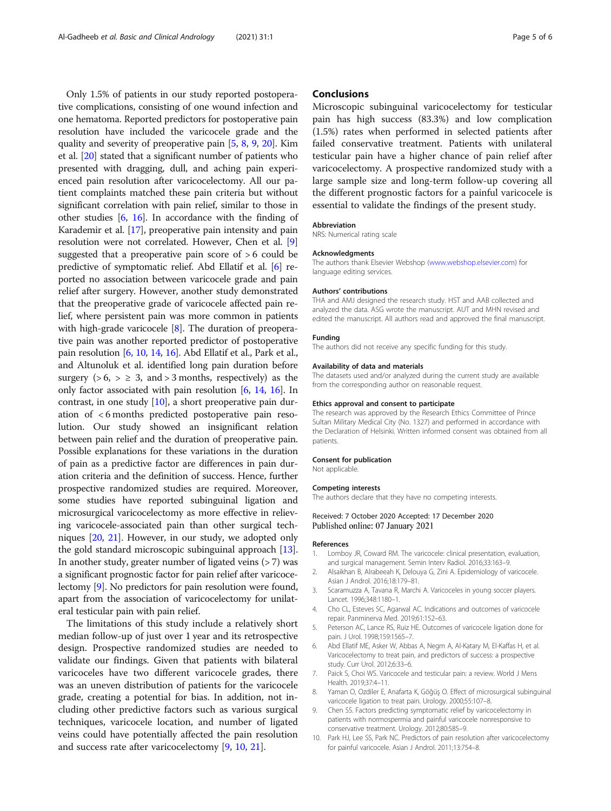<span id="page-4-0"></span>Only 1.5% of patients in our study reported postoperative complications, consisting of one wound infection and one hematoma. Reported predictors for postoperative pain resolution have included the varicocele grade and the quality and severity of preoperative pain [5, 8, 9, [20](#page-5-0)]. Kim et al. [[20\]](#page-5-0) stated that a significant number of patients who presented with dragging, dull, and aching pain experienced pain resolution after varicocelectomy. All our patient complaints matched these pain criteria but without significant correlation with pain relief, similar to those in other studies [6, [16\]](#page-5-0). In accordance with the finding of Karademir et al. [\[17](#page-5-0)], preoperative pain intensity and pain resolution were not correlated. However, Chen et al. [9] suggested that a preoperative pain score of > 6 could be predictive of symptomatic relief. Abd Ellatif et al. [6] reported no association between varicocele grade and pain relief after surgery. However, another study demonstrated that the preoperative grade of varicocele affected pain relief, where persistent pain was more common in patients with high-grade varicocele [8]. The duration of preoperative pain was another reported predictor of postoperative pain resolution [6, 10, [14,](#page-5-0) [16](#page-5-0)]. Abd Ellatif et al., Park et al., and Altunoluk et al. identified long pain duration before surgery  $(>6, > \geq 3, \text{ and } > 3 \text{ months}, \text{ respectively})$  as the only factor associated with pain resolution [6, [14,](#page-5-0) [16](#page-5-0)]. In contrast, in one study [10], a short preoperative pain duration of < 6 months predicted postoperative pain resolution. Our study showed an insignificant relation between pain relief and the duration of preoperative pain. Possible explanations for these variations in the duration of pain as a predictive factor are differences in pain duration criteria and the definition of success. Hence, further prospective randomized studies are required. Moreover, some studies have reported subinguinal ligation and microsurgical varicocelectomy as more effective in relieving varicocele-associated pain than other surgical techniques [[20](#page-5-0), [21\]](#page-5-0). However, in our study, we adopted only the gold standard microscopic subinguinal approach [[13](#page-5-0)]. In another study, greater number of ligated veins  $($ >7 $)$  was a significant prognostic factor for pain relief after varicocelectomy [9]. No predictors for pain resolution were found, apart from the association of varicocelectomy for unilateral testicular pain with pain relief.

The limitations of this study include a relatively short median follow-up of just over 1 year and its retrospective design. Prospective randomized studies are needed to validate our findings. Given that patients with bilateral varicoceles have two different varicocele grades, there was an uneven distribution of patients for the varicocele grade, creating a potential for bias. In addition, not including other predictive factors such as various surgical techniques, varicocele location, and number of ligated veins could have potentially affected the pain resolution and success rate after varicocelectomy [9, 10, [21\]](#page-5-0).

# **Conclusions**

Microscopic subinguinal varicocelectomy for testicular pain has high success (83.3%) and low complication (1.5%) rates when performed in selected patients after failed conservative treatment. Patients with unilateral testicular pain have a higher chance of pain relief after varicocelectomy. A prospective randomized study with a large sample size and long-term follow-up covering all the different prognostic factors for a painful varicocele is essential to validate the findings of the present study.

#### Abbreviation

NRS: Numerical rating scale

#### Acknowledgments

The authors thank Elsevier Webshop ([www.webshop.elsevier.com](http://www.webshop.elsevier.com)) for language editing services.

#### Authors' contributions

THA and AMJ designed the research study. HST and AAB collected and analyzed the data. ASG wrote the manuscript. AUT and MHN revised and edited the manuscript. All authors read and approved the final manuscript.

#### Funding

The authors did not receive any specific funding for this study.

#### Availability of data and materials

The datasets used and/or analyzed during the current study are available from the corresponding author on reasonable request.

#### Ethics approval and consent to participate

The research was approved by the Research Ethics Committee of Prince Sultan Military Medical City (No. 1327) and performed in accordance with the Declaration of Helsinki. Written informed consent was obtained from all patients.

#### Consent for publication

Not applicable.

#### Competing interests

The authors declare that they have no competing interests.

## Received: 7 October 2020 Accepted: 17 December 2020 Published online: 07 January 2021

#### References

- 1. Lomboy JR, Coward RM. The varicocele: clinical presentation, evaluation, and surgical management. Semin Interv Radiol. 2016;33:163–9.
- 2. Alsaikhan B, Alrabeeah K, Delouya G, Zini A. Epidemiology of varicocele. Asian J Androl. 2016;18:179–81.
- 3. Scaramuzza A, Tavana R, Marchi A. Varicoceles in young soccer players. Lancet. 1996;348:1180–1.
- 4. Cho CL, Esteves SC, Agarwal AC. Indications and outcomes of varicocele repair. Panminerva Med. 2019;61:152–63.
- 5. Peterson AC, Lance RS, Ruiz HE. Outcomes of varicocele ligation done for pain. J Urol. 1998;159:1565–7.
- 6. Abd Ellatif ME, Asker W, Abbas A, Negm A, Al-Katary M, El-Kaffas H, et al. Varicocelectomy to treat pain, and predictors of success: a prospective study. Curr Urol. 2012;6:33–6.
- 7. Paick S, Choi WS. Varicocele and testicular pain: a review. World J Mens Health. 2019;37:4–11.
- 8. Yaman O, Ozdiler E, Anafarta K, Göğüş O. Effect of microsurgical subinguinal varicocele ligation to treat pain. Urology. 2000;55:107–8.
- 9. Chen SS. Factors predicting symptomatic relief by varicocelectomy in patients with normospermia and painful varicocele nonresponsive to conservative treatment. Urology. 2012;80:585–9.
- 10. Park HJ, Lee SS, Park NC. Predictors of pain resolution after varicocelectomy for painful varicocele. Asian J Androl. 2011;13:754–8.